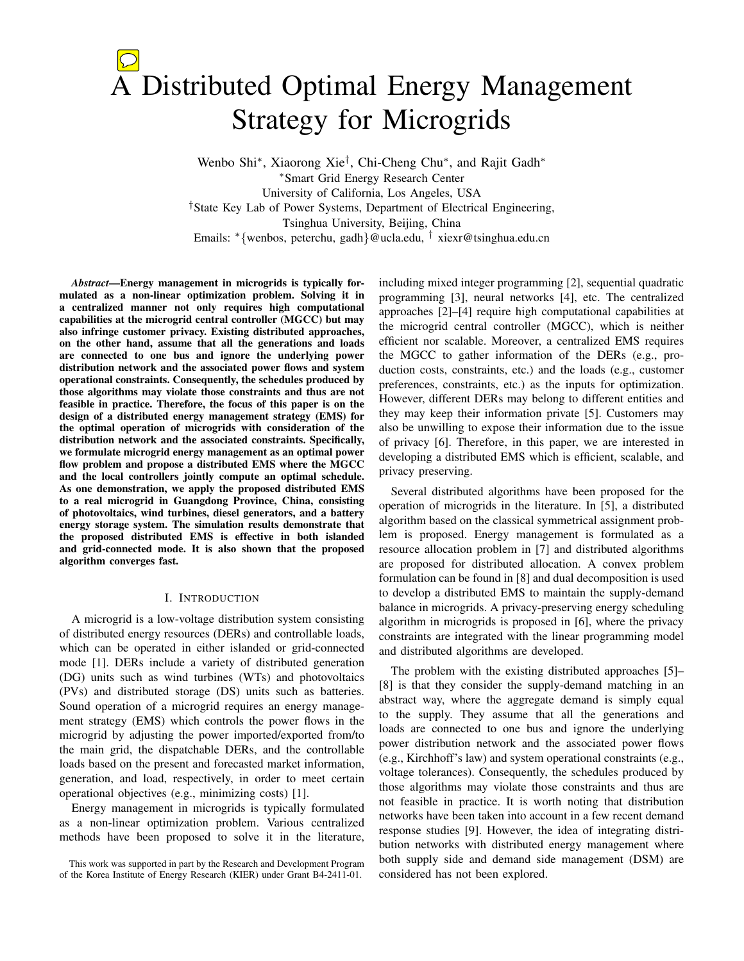# A Distributed Optimal Energy Management Strategy for Microgrids

Wenbo Shi<sup>∗</sup>, Xiaorong Xie<sup>†</sup>, Chi-Cheng Chu<sup>∗</sup>, and Rajit Gadh<sup>∗</sup> <sup>∗</sup>Smart Grid Energy Research Center University of California, Los Angeles, USA †State Key Lab of Power Systems, Department of Electrical Engineering, Tsinghua University, Beijing, China Emails: <sup>∗</sup>{wenbos, peterchu, gadh}@ucla.edu, † xiexr@tsinghua.edu.cn

*Abstract*—Energy management in microgrids is typically formulated as a non-linear optimization problem. Solving it in a centralized manner not only requires high computational capabilities at the microgrid central controller (MGCC) but may also infringe customer privacy. Existing distributed approaches, on the other hand, assume that all the generations and loads are connected to one bus and ignore the underlying power distribution network and the associated power flows and system operational constraints. Consequently, the schedules produced by those algorithms may violate those constraints and thus are not feasible in practice. Therefore, the focus of this paper is on the design of a distributed energy management strategy (EMS) for the optimal operation of microgrids with consideration of the distribution network and the associated constraints. Specifically, we formulate microgrid energy management as an optimal power flow problem and propose a distributed EMS where the MGCC and the local controllers jointly compute an optimal schedule. As one demonstration, we apply the proposed distributed EMS to a real microgrid in Guangdong Province, China, consisting of photovoltaics, wind turbines, diesel generators, and a battery energy storage system. The simulation results demonstrate that the proposed distributed EMS is effective in both islanded and grid-connected mode. It is also shown that the proposed algorithm converges fast.

## I. INTRODUCTION

A microgrid is a low-voltage distribution system consisting of distributed energy resources (DERs) and controllable loads, which can be operated in either islanded or grid-connected mode [1]. DERs include a variety of distributed generation (DG) units such as wind turbines (WTs) and photovoltaics (PVs) and distributed storage (DS) units such as batteries. Sound operation of a microgrid requires an energy management strategy (EMS) which controls the power flows in the microgrid by adjusting the power imported/exported from/to the main grid, the dispatchable DERs, and the controllable loads based on the present and forecasted market information, generation, and load, respectively, in order to meet certain operational objectives (e.g., minimizing costs) [1].

Energy management in microgrids is typically formulated as a non-linear optimization problem. Various centralized methods have been proposed to solve it in the literature, including mixed integer programming [2], sequential quadratic programming [3], neural networks [4], etc. The centralized approaches [2]–[4] require high computational capabilities at the microgrid central controller (MGCC), which is neither efficient nor scalable. Moreover, a centralized EMS requires the MGCC to gather information of the DERs (e.g., production costs, constraints, etc.) and the loads (e.g., customer preferences, constraints, etc.) as the inputs for optimization. However, different DERs may belong to different entities and they may keep their information private [5]. Customers may also be unwilling to expose their information due to the issue of privacy [6]. Therefore, in this paper, we are interested in developing a distributed EMS which is efficient, scalable, and privacy preserving.

Several distributed algorithms have been proposed for the operation of microgrids in the literature. In [5], a distributed algorithm based on the classical symmetrical assignment problem is proposed. Energy management is formulated as a resource allocation problem in [7] and distributed algorithms are proposed for distributed allocation. A convex problem formulation can be found in [8] and dual decomposition is used to develop a distributed EMS to maintain the supply-demand balance in microgrids. A privacy-preserving energy scheduling algorithm in microgrids is proposed in [6], where the privacy constraints are integrated with the linear programming model and distributed algorithms are developed.

The problem with the existing distributed approaches [5]– [8] is that they consider the supply-demand matching in an abstract way, where the aggregate demand is simply equal to the supply. They assume that all the generations and loads are connected to one bus and ignore the underlying power distribution network and the associated power flows (e.g., Kirchhoff's law) and system operational constraints (e.g., voltage tolerances). Consequently, the schedules produced by those algorithms may violate those constraints and thus are not feasible in practice. It is worth noting that distribution networks have been taken into account in a few recent demand response studies [9]. However, the idea of integrating distribution networks with distributed energy management where both supply side and demand side management (DSM) are considered has not been explored.

This work was supported in part by the Research and Development Program of the Korea Institute of Energy Research (KIER) under Grant B4-2411-01.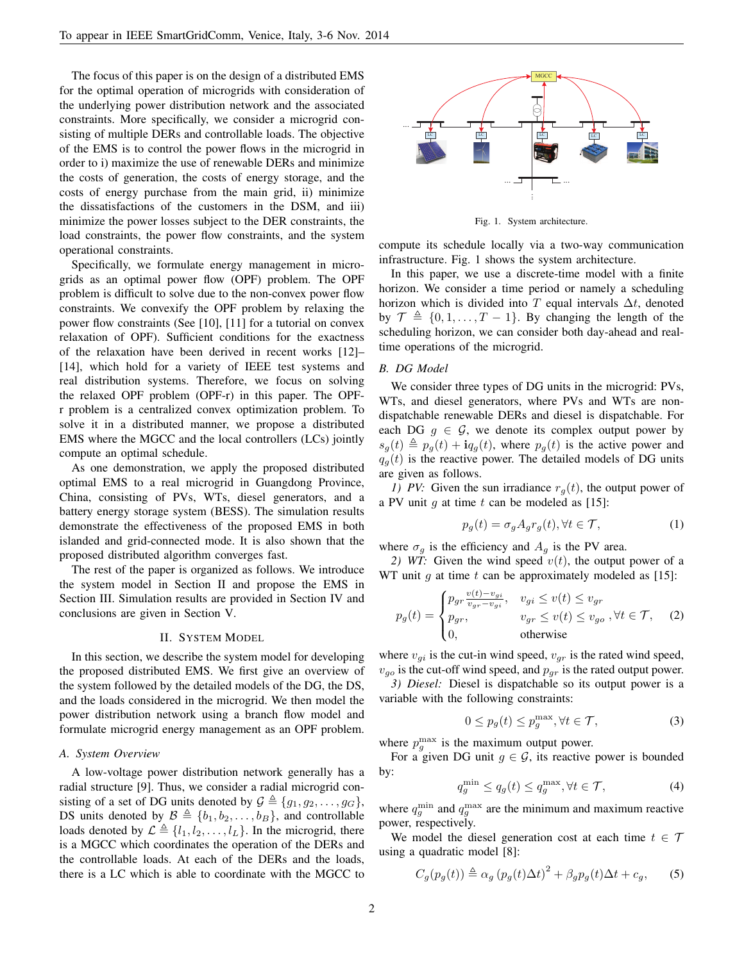The focus of this paper is on the design of a distributed EMS for the optimal operation of microgrids with consideration of the underlying power distribution network and the associated constraints. More specifically, we consider a microgrid consisting of multiple DERs and controllable loads. The objective of the EMS is to control the power flows in the microgrid in order to i) maximize the use of renewable DERs and minimize the costs of generation, the costs of energy storage, and the costs of energy purchase from the main grid, ii) minimize the dissatisfactions of the customers in the DSM, and iii) minimize the power losses subject to the DER constraints, the load constraints, the power flow constraints, and the system operational constraints.

Specifically, we formulate energy management in microgrids as an optimal power flow (OPF) problem. The OPF problem is difficult to solve due to the non-convex power flow constraints. We convexify the OPF problem by relaxing the power flow constraints (See [10], [11] for a tutorial on convex relaxation of OPF). Sufficient conditions for the exactness of the relaxation have been derived in recent works [12]– [14], which hold for a variety of IEEE test systems and real distribution systems. Therefore, we focus on solving the relaxed OPF problem (OPF-r) in this paper. The OPFr problem is a centralized convex optimization problem. To solve it in a distributed manner, we propose a distributed EMS where the MGCC and the local controllers (LCs) jointly compute an optimal schedule. the dissolicitation of the coordinate of the coordinate the effect in the DSM, and iii)  $P_{\text{B}}(t) = \frac{1}{2}$  which is a LC which is able to coordinate with the MGCC to the DE which is a LC which is a LC which is a LC whic

As one demonstration, we apply the proposed distributed optimal EMS to a real microgrid in Guangdong Province, China, consisting of PVs, WTs, diesel generators, and a battery energy storage system (BESS). The simulation results demonstrate the effectiveness of the proposed EMS in both islanded and grid-connected mode. It is also shown that the proposed distributed algorithm converges fast.

The rest of the paper is organized as follows. We introduce the system model in Section II and propose the EMS in Section III. Simulation results are provided in Section IV and conclusions are given in Section V.

#### II. SYSTEM MODEL

In this section, we describe the system model for developing the proposed distributed EMS. We first give an overview of the system followed by the detailed models of the DG, the DS, and the loads considered in the microgrid. We then model the power distribution network using a branch flow model and formulate microgrid energy management as an OPF problem.

## *A. System Overview*

A low-voltage power distribution network generally has a radial structure [9]. Thus, we consider a radial microgrid consisting of a set of DG units denoted by  $G \triangleq \{g_1, g_2, \ldots, g_G\},\$ DS units denoted by  $\mathcal{B} \triangleq \{b_1, b_2, \ldots, b_B\}$ , and controllable loads denoted by  $\mathcal{L} \triangleq \{l_1, l_2, \ldots, l_L\}$ . In the microgrid, there is a MGCC which coordinates the operation of the DERs and the controllable loads. At each of the DERs and the loads,



Fig. 1. System architecture.

compute its schedule locally via a two-way communication infrastructure. Fig. 1 shows the system architecture.

In this paper, we use a discrete-time model with a finite horizon. We consider a time period or namely a scheduling horizon which is divided into T equal intervals  $\Delta t$ , denoted by  $\mathcal{T} \triangleq \{0, 1, \ldots, T - 1\}$ . By changing the length of the scheduling horizon, we can consider both day-ahead and realtime operations of the microgrid.

## *B. DG Model*

We consider three types of DG units in the microgrid: PVs, WTs, and diesel generators, where PVs and WTs are nondispatchable renewable DERs and diesel is dispatchable. For each DG  $g \in \mathcal{G}$ , we denote its complex output power by  $s_q(t) \triangleq p_q(t) + i q_q(t)$ , where  $p_q(t)$  is the active power and  $q_g(t)$  is the reactive power. The detailed models of DG units are given as follows.

*1) PV:* Given the sun irradiance  $r_q(t)$ , the output power of a PV unit q at time t can be modeled as [15]:

$$
p_g(t) = \sigma_g A_g r_g(t), \forall t \in \mathcal{T},\tag{1}
$$

where  $\sigma_q$  is the efficiency and  $A_q$  is the PV area.

*2)* WT: Given the wind speed  $v(t)$ , the output power of a WT unit  $q$  at time  $t$  can be approximately modeled as [15]:

$$
p_g(t) = \begin{cases} p_{gr} \frac{v(t) - v_{gi}}{v_{gr} - v_{gi}}, & v_{gi} \le v(t) \le v_{gr} \\ p_{gr}, & v_{gr} \le v(t) \le v_{go}, \forall t \in \mathcal{T}, \\ 0, & \text{otherwise} \end{cases}
$$
 (2)

where  $v_{gi}$  is the cut-in wind speed,  $v_{gr}$  is the rated wind speed,  $v_{qo}$  is the cut-off wind speed, and  $p_{qr}$  is the rated output power.

*3) Diesel:* Diesel is dispatchable so its output power is a variable with the following constraints:

$$
0 \le p_g(t) \le p_g^{\max}, \forall t \in \mathcal{T},\tag{3}
$$

where  $p_g^{\text{max}}$  is the maximum output power.

For a given DG unit  $q \in \mathcal{G}$ , its reactive power is bounded by:

$$
q_g^{\min} \le q_g(t) \le q_g^{\max}, \forall t \in \mathcal{T},\tag{4}
$$

where  $q_g^{\min}$  and  $q_g^{\max}$  are the minimum and maximum reactive power, respectively.

We model the diesel generation cost at each time  $t \in \mathcal{T}$ using a quadratic model [8]:

$$
C_g(p_g(t)) \triangleq \alpha_g (p_g(t)\Delta t)^2 + \beta_g p_g(t)\Delta t + c_g, \qquad (5)
$$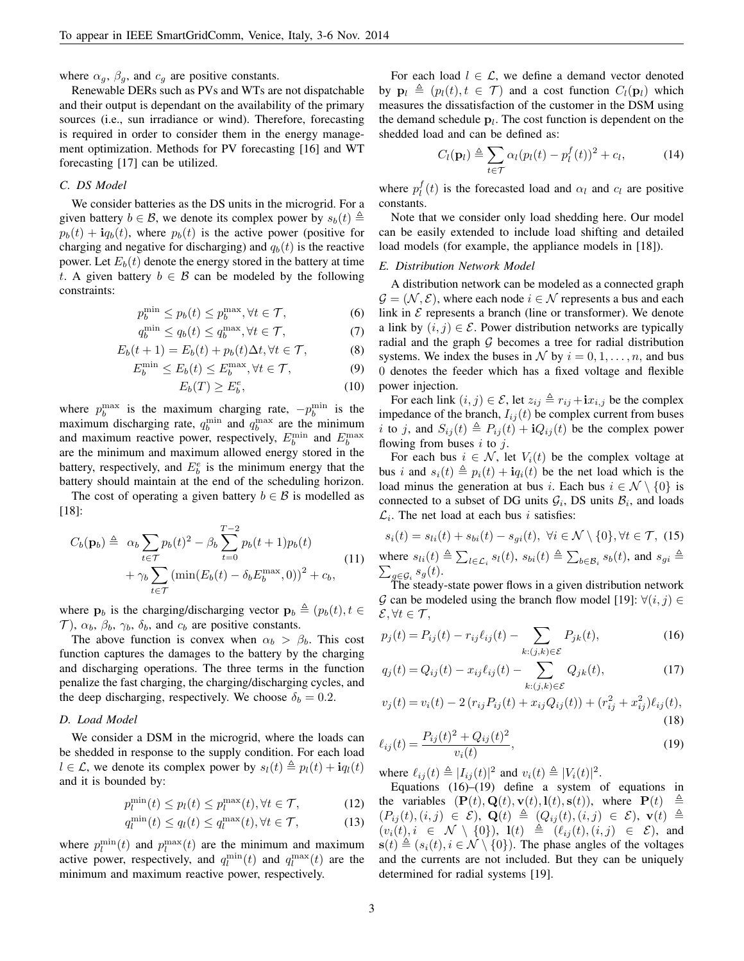where  $\alpha_g$ ,  $\beta_g$ , and  $c_g$  are positive constants.

Renewable DERs such as PVs and WTs are not dispatchable and their output is dependant on the availability of the primary sources (i.e., sun irradiance or wind). Therefore, forecasting is required in order to consider them in the energy management optimization. Methods for PV forecasting [16] and WT forecasting [17] can be utilized.

## *C. DS Model*

We consider batteries as the DS units in the microgrid. For a given battery  $b \in \mathcal{B}$ , we denote its complex power by  $s_b(t) \triangleq$  $p_b(t) + i q_b(t)$ , where  $p_b(t)$  is the active power (positive for charging and negative for discharging) and  $q_b(t)$  is the reactive power. Let  $E<sub>b</sub>(t)$  denote the energy stored in the battery at time t. A given battery  $b \in \mathcal{B}$  can be modeled by the following constraints:

$$
p_b^{\min} \le p_b(t) \le p_b^{\max}, \forall t \in \mathcal{T}, \tag{6}
$$

$$
q_b^{\min} \le q_b(t) \le q_b^{\max}, \forall t \in \mathcal{T},\tag{7}
$$

$$
E_b(t+1) = E_b(t) + p_b(t)\Delta t, \forall t \in \mathcal{T}, \tag{8}
$$

$$
E_b^{\min} \le E_b(t) \le E_b^{\max}, \forall t \in \mathcal{T},\tag{9}
$$

$$
E_b(T) \ge E_b^e,\tag{10}
$$

where  $p_b^{\text{max}}$  is the maximum charging rate,  $-p_b^{\text{min}}$  is the maximum discharging rate,  $q_b^{\text{min}}$  and  $q_b^{\text{max}}$  are the minimum and maximum reactive power, respectively,  $E_b^{\text{min}}$  and  $E_b^{\text{max}}$ are the minimum and maximum allowed energy stored in the battery, respectively, and  $E_b^e$  is the minimum energy that the battery should maintain at the end of the scheduling horizon.

The cost of operating a given battery  $b \in \mathcal{B}$  is modelled as [18]:

$$
C_b(\mathbf{p}_b) \triangleq \alpha_b \sum_{t \in \mathcal{T}} p_b(t)^2 - \beta_b \sum_{t=0}^{T-2} p_b(t+1) p_b(t)
$$
  
+ 
$$
\gamma_b \sum_{t \in \mathcal{T}} (\min(E_b(t) - \delta_b E_b^{\max}, 0))^2 + c_b,
$$
 (11)

where  $\mathbf{p}_b$  is the charging/discharging vector  $\mathbf{p}_b \triangleq (p_b(t), t \in$  $\mathcal{T}$ ),  $\alpha_b$ ,  $\beta_b$ ,  $\gamma_b$ ,  $\delta_b$ , and  $c_b$  are positive constants.

The above function is convex when  $\alpha_b > \beta_b$ . This cost function captures the damages to the battery by the charging and discharging operations. The three terms in the function penalize the fast charging, the charging/discharging cycles, and the deep discharging, respectively. We choose  $\delta_b = 0.2$ .

## *D. Load Model*

We consider a DSM in the microgrid, where the loads can be shedded in response to the supply condition. For each load  $l \in \mathcal{L}$ , we denote its complex power by  $s_l(t) \triangleq p_l(t) + i q_l(t)$ and it is bounded by:

$$
p_l^{\min}(t) \le p_l(t) \le p_l^{\max}(t), \forall t \in \mathcal{T}, \tag{12}
$$

$$
q_l^{\min}(t) \le q_l(t) \le q_l^{\max}(t), \forall t \in \mathcal{T}, \tag{13}
$$

where  $p_l^{\min}(t)$  and  $p_l^{\max}(t)$  are the minimum and maximum active power, respectively, and  $q_l^{\min}(t)$  and  $q_l^{\max}(t)$  are the minimum and maximum reactive power, respectively.

For each load  $l \in \mathcal{L}$ , we define a demand vector denoted by  $\mathbf{p}_l \triangleq (p_l(t), t \in \mathcal{T})$  and a cost function  $C_l(\mathbf{p}_l)$  which measures the dissatisfaction of the customer in the DSM using the demand schedule  $\mathbf{p}_l$ . The cost function is dependent on the shedded load and can be defined as:

$$
C_l(\mathbf{p}_l) \triangleq \sum_{t \in \mathcal{T}} \alpha_l (p_l(t) - p_l^f(t))^2 + c_l, \tag{14}
$$

where  $p_l^f(t)$  is the forecasted load and  $\alpha_l$  and  $c_l$  are positive constants.

Note that we consider only load shedding here. Our model can be easily extended to include load shifting and detailed load models (for example, the appliance models in [18]).

## *E. Distribution Network Model*

A distribution network can be modeled as a connected graph  $\mathcal{G} = (\mathcal{N}, \mathcal{E})$ , where each node  $i \in \mathcal{N}$  represents a bus and each link in  $\mathcal E$  represents a branch (line or transformer). We denote a link by  $(i, j) \in \mathcal{E}$ . Power distribution networks are typically radial and the graph  $G$  becomes a tree for radial distribution systems. We index the buses in N by  $i = 0, 1, \ldots, n$ , and bus 0 denotes the feeder which has a fixed voltage and flexible power injection.

For each link  $(i, j) \in \mathcal{E}$ , let  $z_{ij} \triangleq r_{ij} + i x_{i,j}$  be the complex impedance of the branch,  $I_{ij}(t)$  be complex current from buses i to j, and  $S_{ij}(t) \triangleq P_{ij}(t) + iQ_{ij}(t)$  be the complex power flowing from buses  $i$  to  $j$ .

For each bus  $i \in \mathcal{N}$ , let  $V_i(t)$  be the complex voltage at bus i and  $s_i(t) \triangleq p_i(t) + iq_i(t)$  be the net load which is the load minus the generation at bus *i*. Each bus  $i \in \mathcal{N} \setminus \{0\}$  is connected to a subset of DG units  $\mathcal{G}_i$ , DS units  $\mathcal{B}_i$ , and loads  $\mathcal{L}_i$ . The net load at each bus *i* satisfies:

$$
s_i(t) = s_{li}(t) + s_{bi}(t) - s_{gi}(t), \ \forall i \in \mathcal{N} \setminus \{0\}, \forall t \in \mathcal{T}, \ (15)
$$
  
where  $s_{li}(t) \triangleq \sum_{l \in \mathcal{L}_i} s_l(t), \ s_{bi}(t) \triangleq \sum_{b \in \mathcal{B}_i} s_b(t), \text{ and } s_{gi} \triangleq \sum_{g \in \mathcal{G}_i} s_g(t).$ 

 $g \in G_i$   $^g g(v)$ .<br>The steady-state power flows in a given distribution network G can be modeled using the branch flow model [19]:  $\forall (i, j) \in$  $\mathcal{E}, \forall t \in \mathcal{T},$ 

$$
p_j(t) = P_{ij}(t) - r_{ij}\ell_{ij}(t) - \sum_{k:(j,k)\in\mathcal{E}} P_{jk}(t),
$$
\n(16)

$$
q_j(t) = Q_{ij}(t) - x_{ij}\ell_{ij}(t) - \sum_{k:(j,k)\in\mathcal{E}} Q_{jk}(t),
$$
\n(17)

$$
v_j(t) = v_i(t) - 2(r_{ij}P_{ij}(t) + x_{ij}Q_{ij}(t)) + (r_{ij}^2 + x_{ij}^2)\ell_{ij}(t),
$$
\n(18)

$$
\ell_{ij}(t) = \frac{P_{ij}(t)^2 + Q_{ij}(t)^2}{v_i(t)},
$$
\n(19)

where  $\ell_{ij}(t) \triangleq |I_{ij}(t)|^2$  and  $v_i(t) \triangleq |V_i(t)|^2$ .

Equations  $(16)$ – $(19)$  define a system of equations in the variables  $(\mathbf{P}(t), \mathbf{Q}(t), \mathbf{v}(t), \mathbf{l}(t), \mathbf{s}(t)),$  where  $\mathbf{P}(t) \triangleq$  $(P_{ij}(t), (i,j) \in \mathcal{E})$ ,  $\mathbf{Q}(t) \triangleq (Q_{ij}(t), (i,j) \in \mathcal{E})$ ,  $\mathbf{v}(t) \triangleq$  $(v_i(t), i \in \mathcal{N} \setminus \{0\}),$   $\mathbf{l}(t) \triangleq (\ell_{ij}(t), (i, j) \in \mathcal{E})$ , and  $\mathbf{s}(t) \triangleq (s_i(t), i \in \mathcal{N} \setminus \{0\})$ . The phase angles of the voltages and the currents are not included. But they can be uniquely determined for radial systems [19].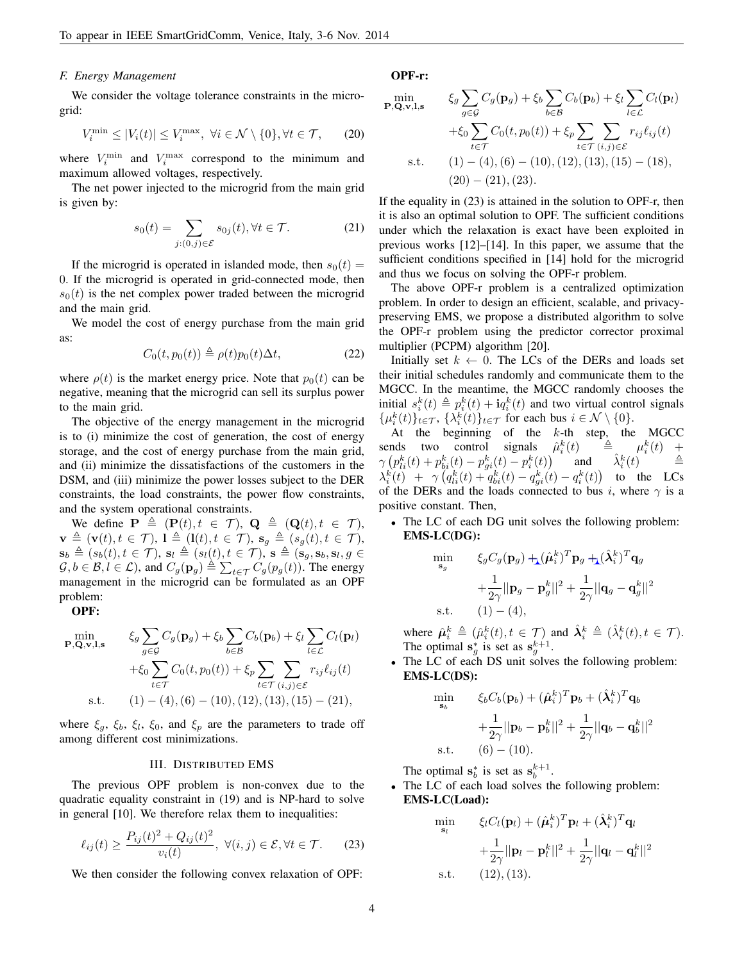#### *F. Energy Management*

We consider the voltage tolerance constraints in the microgrid:

$$
V_i^{\min} \le |V_i(t)| \le V_i^{\max}, \ \forall i \in \mathcal{N} \setminus \{0\}, \forall t \in \mathcal{T}, \qquad (20)
$$

where  $V_i^{\text{min}}$  and  $V_i^{\text{max}}$  correspond to the minimum and maximum allowed voltages, respectively.

The net power injected to the microgrid from the main grid is given by:

$$
s_0(t) = \sum_{j:(0,j)\in\mathcal{E}} s_{0j}(t), \forall t \in \mathcal{T}.
$$
 (21)

If the microgrid is operated in islanded mode, then  $s_0(t) =$ 0. If the microgrid is operated in grid-connected mode, then  $s<sub>0</sub>(t)$  is the net complex power traded between the microgrid and the main grid.

We model the cost of energy purchase from the main grid as:

$$
C_0(t, p_0(t)) \triangleq \rho(t)p_0(t)\Delta t, \qquad (22)
$$

where  $\rho(t)$  is the market energy price. Note that  $p_0(t)$  can be negative, meaning that the microgrid can sell its surplus power to the main grid.

The objective of the energy management in the microgrid is to (i) minimize the cost of generation, the cost of energy storage, and the cost of energy purchase from the main grid, and (ii) minimize the dissatisfactions of the customers in the DSM, and (iii) minimize the power losses subject to the DER constraints, the load constraints, the power flow constraints, and the system operational constraints.

We define  $P \triangleq (P(t), t \in \mathcal{T})$ ,  $Q \triangleq (Q(t), t \in \mathcal{T})$ ,  $\mathbf{v} \triangleq (\mathbf{v}(t), t \in \mathcal{T}), \mathbf{l} \triangleq (\mathbf{l}(t), t \in \mathcal{T}), \mathbf{s}_g \triangleq (s_g(t), t \in \mathcal{T}),$  $\mathbf{s}_b \triangleq (s_b(t), t \in \mathcal{T}), \, \mathbf{s}_l \triangleq (s_l(t), t \in \mathcal{T}), \, \mathbf{s} \triangleq (\mathbf{s}_g, \mathbf{s}_b, \mathbf{s}_l, g \in \mathcal{T})$  $G, b \in \mathcal{B}, l \in \mathcal{L}$ , and  $C_g(\mathbf{p}_g) \triangleq \sum_{t \in \mathcal{T}} C_g(p_g(t))$ . The energy management in the microgrid can be formulated as an OPF problem:

OPF:

$$
\min_{\mathbf{P},\mathbf{Q},\mathbf{v},\mathbf{l},\mathbf{s}} \quad \xi_g \sum_{g \in \mathcal{G}} C_g(\mathbf{p}_g) + \xi_b \sum_{b \in \mathcal{B}} C_b(\mathbf{p}_b) + \xi_l \sum_{l \in \mathcal{L}} C_l(\mathbf{p}_l) \n+ \xi_0 \sum_{t \in \mathcal{T}} C_0(t, p_0(t)) + \xi_p \sum_{t \in \mathcal{T}} \sum_{(i,j) \in \mathcal{E}} r_{ij} \ell_{ij}(t) \ns.t. \quad (1) - (4), (6) - (10), (12), (13), (15) - (21),
$$

where  $\xi_g$ ,  $\xi_b$ ,  $\xi_l$ ,  $\xi_0$ , and  $\xi_p$  are the parameters to trade off among different cost minimizations.

### III. DISTRIBUTED EMS

The previous OPF problem is non-convex due to the quadratic equality constraint in (19) and is NP-hard to solve in general [10]. We therefore relax them to inequalities:

$$
\ell_{ij}(t) \ge \frac{P_{ij}(t)^2 + Q_{ij}(t)^2}{v_i(t)}, \ \forall (i, j) \in \mathcal{E}, \forall t \in \mathcal{T}.
$$
 (23)

We then consider the following convex relaxation of OPF:

# OPF-r:

$$
\min_{\mathbf{P},\mathbf{Q},\mathbf{v},\mathbf{l},\mathbf{s}} \quad \xi_g \sum_{g \in \mathcal{G}} C_g(\mathbf{p}_g) + \xi_b \sum_{b \in \mathcal{B}} C_b(\mathbf{p}_b) + \xi_l \sum_{l \in \mathcal{L}} C_l(\mathbf{p}_l) \n+ \xi_0 \sum_{t \in \mathcal{T}} C_0(t, p_0(t)) + \xi_p \sum_{t \in \mathcal{T}} \sum_{(i,j) \in \mathcal{E}} r_{ij} \ell_{ij}(t) \ns.t. \quad (1) - (4), (6) - (10), (12), (13), (15) - (18), \n(20) - (21), (23).
$$

If the equality in (23) is attained in the solution to OPF-r, then it is also an optimal solution to OPF. The sufficient conditions under which the relaxation is exact have been exploited in previous works [12]–[14]. In this paper, we assume that the sufficient conditions specified in [14] hold for the microgrid and thus we focus on solving the OPF-r problem.

The above OPF-r problem is a centralized optimization problem. In order to design an efficient, scalable, and privacypreserving EMS, we propose a distributed algorithm to solve the OPF-r problem using the predictor corrector proximal multiplier (PCPM) algorithm [20].

Initially set  $k \leftarrow 0$ . The LCs of the DERs and loads set their initial schedules randomly and communicate them to the MGCC. In the meantime, the MGCC randomly chooses the initial  $s_i^k(t) \triangleq p_i^k(t) + i q_i^k(t)$  and two virtual control signals  $\{\mu_i^k(t)\}_{t\in\mathcal{T}}$ ,  $\{\lambda_i^k(t)\}_{t\in\mathcal{T}}$  for each bus  $i \in \mathcal{N} \setminus \{0\}$ .

At the beginning of the  $k$ -th step, the MGCC sends two control signals  $\hat{\mu}_i^k(t) = \frac{\Delta}{\epsilon} \mu$  $\frac{k}{i}(t) +$  $\gamma\left(p_{li}^k(t)+p_{bi}^k(t)-p_{gi}^k(t)-p_i^k(t)\right)$  and  $\hat{\lambda}_i^k(t)$   $\triangleq$  $\lambda_i^k(t)$  +  $\gamma \left( q_{li}^k(t)+q_{bi}^k(t)-q_{gi}^k(t)-q_i^k(t)\right)$  to the LCs of the DERs and the loads connected to bus i, where  $\gamma$  is a positive constant. Then,

• The LC of each DG unit solves the following problem: EMS-LC(DG):

$$
\begin{aligned}\n\min_{\mathbf{s}_g} & \qquad \xi_g C_g(\mathbf{p}_g) + \left(\hat{\boldsymbol{\mu}}_i^k\right)^T \mathbf{p}_g + \left(\hat{\boldsymbol{\lambda}}_i^k\right)^T \mathbf{q}_g \\
& + \frac{1}{2\gamma} ||\mathbf{p}_g - \mathbf{p}_g^k||^2 + \frac{1}{2\gamma} ||\mathbf{q}_g - \mathbf{q}_g^k||^2 \\
\text{s.t.} & (1) - (4),\n\end{aligned}
$$

where  $\hat{\mu}_i^k \triangleq (\hat{\mu}_i^k(t), t \in \mathcal{T})$  and  $\hat{\lambda}_i^k \triangleq (\hat{\lambda}_i^k(t), t \in \mathcal{T})$ . The optimal  $s_g^*$  is set as  $s_g^{k+1}$ .

• The LC of each DS unit solves the following problem: EMS-LC(DS):

$$
\begin{aligned}\n\min_{\mathbf{s}_b} & \qquad & \xi_b C_b(\mathbf{p}_b) + (\hat{\boldsymbol{\mu}}_i^k)^T \mathbf{p}_b + (\hat{\boldsymbol{\lambda}}_i^k)^T \mathbf{q}_b \\
&+ \frac{1}{2\gamma} ||\mathbf{p}_b - \mathbf{p}_b^k||^2 + \frac{1}{2\gamma} ||\mathbf{q}_b - \mathbf{q}_b^k||^2 \\
\text{s.t.} & \qquad (6) - (10).\n\end{aligned}
$$

The optimal  $s_b^*$  is set as  $s_b^{k+1}$ .

min

• The LC of each load solves the following problem: EMS-LC(Load):

$$
\min_{\mathbf{s}_l} \qquad \xi_l C_l(\mathbf{p}_l) + (\hat{\boldsymbol{\mu}}_i^k)^T \mathbf{p}_l + (\hat{\boldsymbol{\lambda}}_i^k)^T \mathbf{q}_l
$$
\n
$$
+ \frac{1}{2\gamma} ||\mathbf{p}_l - \mathbf{p}_l^k||^2 + \frac{1}{2\gamma} ||\mathbf{q}_l - \mathbf{q}_l^k||^2
$$
\ns.t. (12), (13).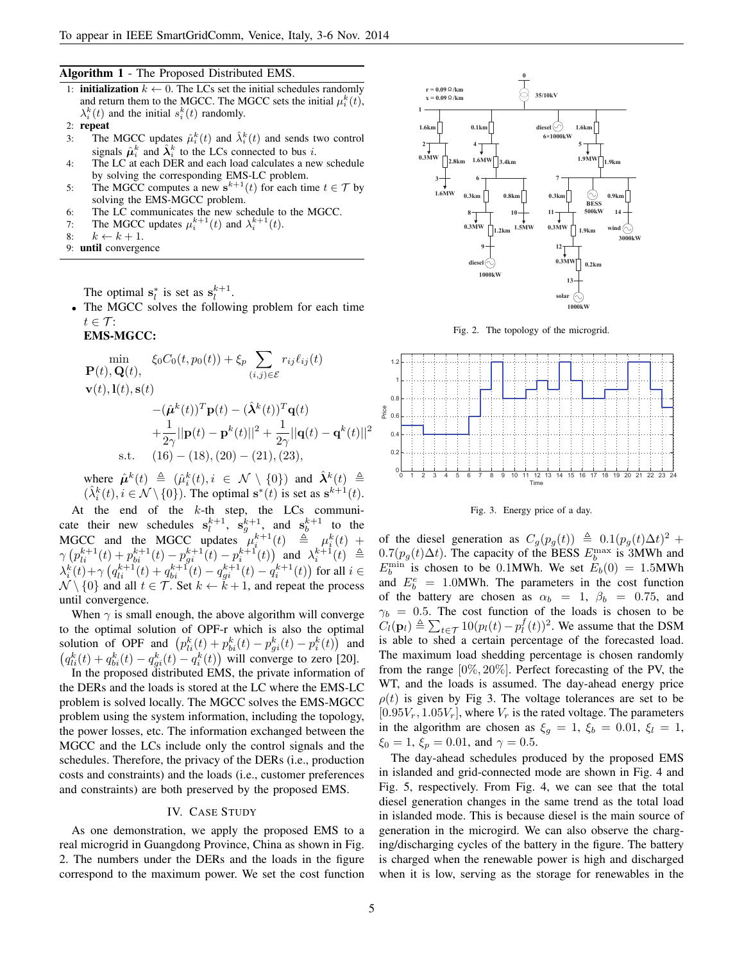## Algorithm 1 - The Proposed Distributed EMS.

- 1: **initialization**  $k \leftarrow 0$ . The LCs set the initial schedules randomly and return them to the MGCC. The MGCC sets the initial  $\mu_i^k(t)$ ,  $\lambda_i^k(t)$  and the initial  $s_i^k(t)$  randomly.
- 2: repeat
- 3: The MGCC updates  $\hat{\mu}_i^k(t)$  and  $\hat{\lambda}_i^k(t)$  and sends two control signals  $\hat{\mu}_i^k$  and  $\hat{\lambda}_i^k$  to the LCs connected to bus i.
- 4: The LC at each DER and each load calculates a new schedule by solving the corresponding EMS-LC problem.
- 5: The MGCC computes a new  $\mathbf{s}^{k+1}(t)$  for each time  $t \in \mathcal{T}$  by solving the EMS-MGCC problem.
- 6: The LC communicates the new schedule to the MGCC.
- 7: The MGCC updates  $\mu_i^{k+1}(t)$  and  $\lambda_i^{k+1}(t)$ .
- 8:  $k \leftarrow k + 1$ .
- 9: until convergence

The optimal  $s_l^*$  is set as  $s_l^{k+1}$ .

The MGCC solves the following problem for each time  $t \in \mathcal{T}$ :

EMS-MGCC:

$$
\min_{\mathbf{P}(t), \mathbf{Q}(t),} \xi_0 C_0(t, p_0(t)) + \xi_p \sum_{(i,j) \in \mathcal{E}} r_{ij} \ell_{ij}(t)
$$
\n
$$
\mathbf{v}(t), \mathbf{l}(t), \mathbf{s}(t) - (\hat{\boldsymbol{\mu}}^k(t))^T \mathbf{p}(t) - (\hat{\boldsymbol{\lambda}}^k(t))^T \mathbf{q}(t) + \frac{1}{2\gamma} ||\mathbf{p}(t) - \mathbf{p}^k(t)||^2 + \frac{1}{2\gamma} ||\mathbf{q}(t) - \mathbf{q}^k(t)||
$$
\ns.t. (16) – (18), (20) – (21), (23),

where  $\hat{\mu}^k(t) \triangleq (\hat{\mu}_i^k(t), i \in \mathcal{N} \setminus \{0\})$  and  $\hat{\lambda}^k(t) \triangleq$  $(\hat{\lambda}_i^k(t), i \in \mathcal{N} \setminus \{0\})$ . The optimal  $\mathbf{s}^*(t)$  is set as  $\mathbf{s}^{k+1}(t)$ .

At the end of the  $k$ -th step, the LCs communicate their new schedules  $s_l^{k+1}$ ,  $s_g^{k+1}$ , and  $s_b^{k+1}$  to the MGCC and the MGCC updates  $\mu_i^{k+1}(t) \triangleq \mu_i^k(t) +$  $\gamma \left( p_{li}^{k+1}(t) + p_{bi}^{k+1}(t) - p_{gi}^{k+1}(t) - p_i^{k+1}(t) \right)$  and  $\lambda_i^{k+1}(t) \triangleq$  $\lambda_i^k(t) + \gamma \left( q_{li}^{k+1}(t) + q_{bi}^{k+1}(t) - q_{gi}^{k+1}(t) - q_i^{k+1}(t) \right)$  for all  $i \in$  $\mathcal{N}\setminus\{0\}$  and all  $t \in \mathcal{T}$ . Set  $k \leftarrow \overline{k+1}$ , and repeat the process until convergence.

When  $\gamma$  is small enough, the above algorithm will converge to the optimal solution of OPF-r which is also the optimal solution of OPF and  $\left(p_{li}^k(t) + p_{bi}^k(t) - p_{gi}^k(t) - p_i^k(t)\right)$  and  $(q_{li}^k(t) + q_{bi}^k(t) - q_{gi}^k(t) - q_i^k(t))$  will converge to zero [20].

In the proposed distributed EMS, the private information of the DERs and the loads is stored at the LC where the EMS-LC problem is solved locally. The MGCC solves the EMS-MGCC problem using the system information, including the topology, the power losses, etc. The information exchanged between the MGCC and the LCs include only the control signals and the schedules. Therefore, the privacy of the DERs (i.e., production costs and constraints) and the loads (i.e., customer preferences and constraints) are both preserved by the proposed EMS.

## IV. CASE STUDY

As one demonstration, we apply the proposed EMS to a real microgrid in Guangdong Province, China as shown in Fig. 2. The numbers under the DERs and the loads in the figure correspond to the maximum power. We set the cost function









of the diesel generation as  $C_g(p_g(t)) \triangleq 0.1(p_g(t)\Delta t)^2 +$  $0.7(p_g(t)\Delta t)$ . The capacity of the BESS  $E_b^{\text{max}}$  is 3MWh and  $E_b^{\text{min}}$  is chosen to be 0.1MWh. We set  $E_b(0) = 1.5$ MWh and  $E_b^e = 1.0$ MWh. The parameters in the cost function of the battery are chosen as  $\alpha_b = 1$ ,  $\beta_b = 0.75$ , and  $\gamma_b = 0.5$ . The cost function of the loads is chosen to be  $C_l(\mathbf{p}_l) \triangleq \sum_{t \in \mathcal{T}} 10(p_l(t) - p_l^f(t))^2$ . We assume that the DSM is able to shed a certain percentage of the forecasted load. The maximum load shedding percentage is chosen randomly from the range  $[0\%, 20\%]$ . Perfect forecasting of the PV, the WT, and the loads is assumed. The day-ahead energy price  $\rho(t)$  is given by Fig 3. The voltage tolerances are set to be  $[0.95V_r, 1.05V_r]$ , where  $V_r$  is the rated voltage. The parameters in the algorithm are chosen as  $\xi_g = 1$ ,  $\xi_b = 0.01$ ,  $\xi_l = 1$ ,  $\xi_0 = 1, \xi_p = 0.01$ , and  $\gamma = 0.5$ .

The day-ahead schedules produced by the proposed EMS in islanded and grid-connected mode are shown in Fig. 4 and Fig. 5, respectively. From Fig. 4, we can see that the total diesel generation changes in the same trend as the total load in islanded mode. This is because diesel is the main source of generation in the microgird. We can also observe the charging/discharging cycles of the battery in the figure. The battery is charged when the renewable power is high and discharged when it is low, serving as the storage for renewables in the